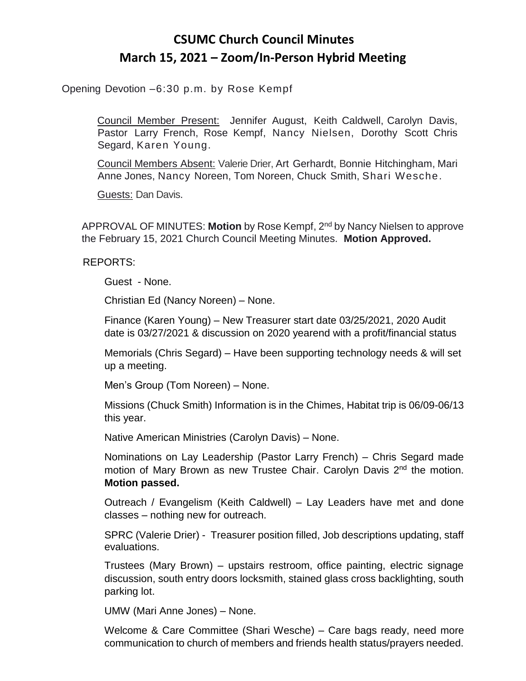## **CSUMC Church Council Minutes March 15, 2021 – Zoom/In-Person Hybrid Meeting**

Opening Devotion –6:30 p.m. by Rose Kempf

Council Member Present: Jennifer August, Keith Caldwell, Carolyn Davis, Pastor Larry French, Rose Kempf, Nancy Nielsen, Dorothy Scott Chris Segard, Karen Young.

Council Members Absent: Valerie Drier, Art Gerhardt, Bonnie Hitchingham, Mari Anne Jones, Nancy Noreen, Tom Noreen, Chuck Smith, Shari Wesche.

Guests: Dan Davis.

APPROVAL OF MINUTES: **Motion** by Rose Kempf, 2nd by Nancy Nielsen to approve the February 15, 2021 Church Council Meeting Minutes. **Motion Approved.**

REPORTS:

Guest - None.

Christian Ed (Nancy Noreen) – None.

Finance (Karen Young) – New Treasurer start date 03/25/2021, 2020 Audit date is 03/27/2021 & discussion on 2020 yearend with a profit/financial status

Memorials (Chris Segard) – Have been supporting technology needs & will set up a meeting.

Men's Group (Tom Noreen) – None.

Missions (Chuck Smith) Information is in the Chimes, Habitat trip is 06/09-06/13 this year.

Native American Ministries (Carolyn Davis) – None.

Nominations on Lay Leadership (Pastor Larry French) – Chris Segard made motion of Mary Brown as new Trustee Chair. Carolyn Davis 2<sup>nd</sup> the motion. **Motion passed.**

Outreach / Evangelism (Keith Caldwell) – Lay Leaders have met and done classes – nothing new for outreach.

SPRC (Valerie Drier) - Treasurer position filled, Job descriptions updating, staff evaluations.

Trustees (Mary Brown) – upstairs restroom, office painting, electric signage discussion, south entry doors locksmith, stained glass cross backlighting, south parking lot.

UMW (Mari Anne Jones) – None.

Welcome & Care Committee (Shari Wesche) – Care bags ready, need more communication to church of members and friends health status/prayers needed.